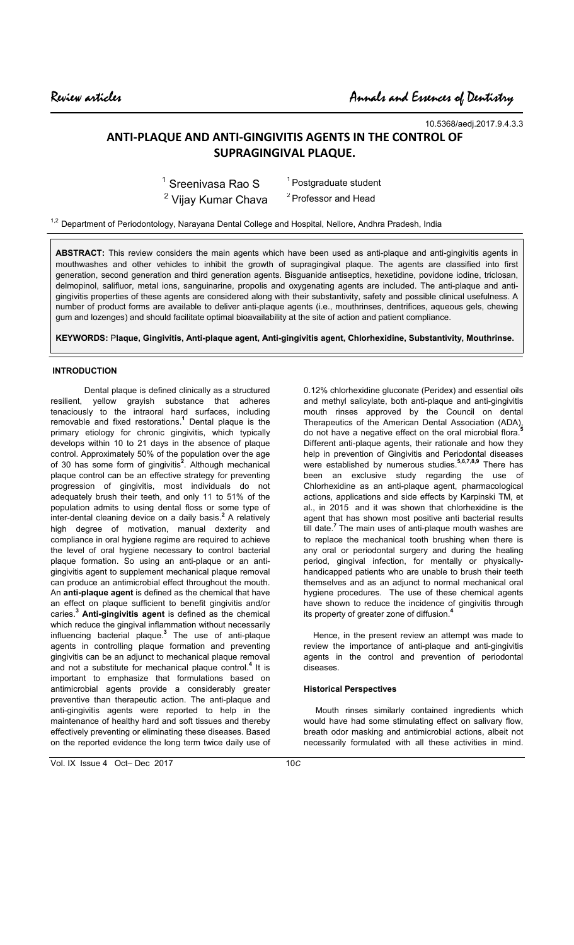10.5368/aedj.2017.9.4.3.3

# **ANTI-PLAQUE AND ANTI-GINGIVITIS AGENTS IN THE CONTROL OF SUPRAGINGIVAL PLAQUE.**

| $1$ Sreenivasa Rao S           | <sup>1</sup> Postgraduate student |
|--------------------------------|-----------------------------------|
| <sup>2</sup> Vijay Kumar Chava | <sup>2</sup> Professor and Head   |

<sup>1,2</sup> Department of Periodontology, Narayana Dental College and Hospital, Nellore, Andhra Pradesh, India

**ABSTRACT:** This review considers the main agents which have been used as anti-plaque and anti-gingivitis agents in mouthwashes and other vehicles to inhibit the growth of supragingival plaque. The agents are classified into first generation, second generation and third generation agents. Bisguanide antiseptics, hexetidine, povidone iodine, triclosan, delmopinol, salifluor, metal ions, sanguinarine, propolis and oxygenating agents are included. The anti-plaque and antigingivitis properties of these agents are considered along with their substantivity, safety and possible clinical usefulness. A number of product forms are available to deliver anti-plaque agents (i.e., mouthrinses, dentrifices, aqueous gels, chewing gum and lozenges) and should facilitate optimal bioavailability at the site of action and patient compliance.

**KEYWORDS:** P**laque, Gingivitis, Anti-plaque agent, Anti-gingivitis agent, Chlorhexidine, Substantivity, Mouthrinse.**

# **INTRODUCTION**

Dental plaque is defined clinically as a structured resilient, yellow grayish substance that adheres tenaciously to the intraoral hard surfaces, including removable and fixed restorations.**<sup>1</sup>** Dental plaque is the primary etiology for chronic gingivitis, which typically develops within 10 to 21 days in the absence of plaque control. Approximately 50% of the population over the age of 30 has some form of gingivitis**<sup>2</sup>** . Although mechanical plaque control can be an effective strategy for preventing progression of gingivitis, most individuals do not adequately brush their teeth, and only 11 to 51% of the population admits to using dental floss or some type of inter-dental cleaning device on a daily basis.**<sup>2</sup>** A relatively high degree of motivation, manual dexterity and compliance in oral hygiene regime are required to achieve the level of oral hygiene necessary to control bacterial plaque formation. So using an anti-plaque or an antigingivitis agent to supplement mechanical plaque removal can produce an antimicrobial effect throughout the mouth. An **anti-plaque agent** is defined as the chemical that have an effect on plaque sufficient to benefit gingivitis and/or caries.**<sup>3</sup> Anti-gingivitis agent** is defined as the chemical which reduce the gingival inflammation without necessarily influencing bacterial plaque.**<sup>3</sup>** The use of anti-plaque agents in controlling plaque formation and preventing gingivitis can be an adjunct to mechanical plaque removal and not a substitute for mechanical plaque control.<sup>4</sup> It is important to emphasize that formulations based on antimicrobial agents provide a considerably greater preventive than therapeutic action. The anti-plaque and anti-gingivitis agents were reported to help in the maintenance of healthy hard and soft tissues and thereby effectively preventing or eliminating these diseases. Based on the reported evidence the long term twice daily use of

Vol. IX Issue 4 Oct– Dec 2017 10*C*

0.12% chlorhexidine gluconate (Peridex) and essential oils and methyl salicylate, both anti-plaque and anti-gingivitis mouth rinses approved by the Council on dental Therapeutics of the American Dental Association (ADA), do not have a negative effect on the oral microbial flora.**<sup>5</sup>** Different anti-plaque agents, their rationale and how they help in prevention of Gingivitis and Periodontal diseases were established by numerous studies.**5,6,7,8,9** There has been an exclusive study regarding the use of Chlorhexidine as an anti-plaque agent, pharmacological actions, applications and side effects by Karpinski TM, et al., in 2015and it was shown that chlorhexidine is the agent that has shown most positive anti bacterial results till date.**<sup>7</sup>** The main uses of anti-plaque mouth washes are to replace the mechanical tooth brushing when there is any oral or periodontal surgery and during the healing period, gingival infection, for mentally or physicallyhandicapped patients who are unable to brush their teeth themselves and as an adjunct to normal mechanical oral hygiene procedures. The use of these chemical agents have shown to reduce the incidence of gingivitis through its property of greater zone of diffusion.**<sup>4</sup>**

 Hence, in the present review an attempt was made to review the importance of anti-plaque and anti-gingivitis agents in the control and prevention of periodontal diseases.

### **Historical Perspectives**

 Mouth rinses similarly contained ingredients which would have had some stimulating effect on salivary flow, breath odor masking and antimicrobial actions, albeit not necessarily formulated with all these activities in mind.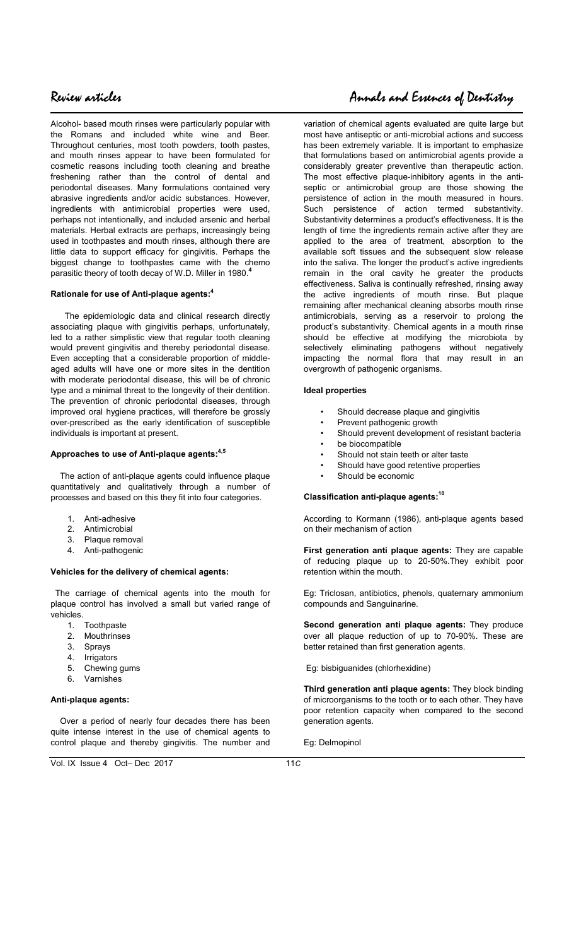Alcohol- based mouth rinses were particularly popular with the Romans and included white wine and Beer. Throughout centuries, most tooth powders, tooth pastes, and mouth rinses appear to have been formulated for cosmetic reasons including tooth cleaning and breathe freshening rather than the control of dental and periodontal diseases. Many formulations contained very abrasive ingredients and/or acidic substances. However, ingredients with antimicrobial properties were used, perhaps not intentionally, and included arsenic and herbal materials. Herbal extracts are perhaps, increasingly being used in toothpastes and mouth rinses, although there are little data to support efficacy for gingivitis. Perhaps the biggest change to toothpastes came with the chemo parasitic theory of tooth decay of W.D. Miller in 1980.**<sup>4</sup>**

### **Rationale for use of Anti-plaque agents:<sup>4</sup>**

 The epidemiologic data and clinical research directly associating plaque with gingivitis perhaps, unfortunately, led to a rather simplistic view that regular tooth cleaning would prevent gingivitis and thereby periodontal disease. Even accepting that a considerable proportion of middleaged adults will have one or more sites in the dentition with moderate periodontal disease, this will be of chronic type and a minimal threat to the longevity of their dentition. The prevention of chronic periodontal diseases, through improved oral hygiene practices, will therefore be grossly over-prescribed as the early identification of susceptible individuals is important at present.

# **Approaches to use of Anti-plaque agents:4,5**

 The action of anti-plaque agents could influence plaque quantitatively and qualitatively through a number of processes and based on this they fit into four categories.

- 1. Anti-adhesive
- 2. Antimicrobial
- 3. Plaque removal
- 4. Anti-pathogenic

### **Vehicles for the delivery of chemical agents:**

 The carriage of chemical agents into the mouth for plaque control has involved a small but varied range of vehicles.

- 1. Toothpaste
- 2. Mouthrinses
- 3. Sprays
- 4. Irrigators
- 5. Chewing gums
- 6. Varnishes

# **Anti-plaque agents:**

 Over a period of nearly four decades there has been quite intense interest in the use of chemical agents to control plaque and thereby gingivitis. The number and

# Review articles Annals and Essences of Dentistry

variation of chemical agents evaluated are quite large but most have antiseptic or anti-microbial actions and success has been extremely variable. It is important to emphasize that formulations based on antimicrobial agents provide a considerably greater preventive than therapeutic action. The most effective plaque-inhibitory agents in the antiseptic or antimicrobial group are those showing the persistence of action in the mouth measured in hours. Such persistence of action termed substantivity. Substantivity determines a product's effectiveness. It is the length of time the ingredients remain active after they are applied to the area of treatment, absorption to the available soft tissues and the subsequent slow release into the saliva. The longer the product's active ingredients remain in the oral cavity he greater the products effectiveness. Saliva is continually refreshed, rinsing away the active ingredients of mouth rinse. But plaque remaining after mechanical cleaning absorbs mouth rinse antimicrobials, serving as a reservoir to prolong the product's substantivity. Chemical agents in a mouth rinse should be effective at modifying the microbiota by selectively eliminating pathogens without negatively impacting the normal flora that may result in an overgrowth of pathogenic organisms.

### **Ideal properties**

- Should decrease plaque and gingivitis
- Prevent pathogenic growth
- Should prevent development of resistant bacteria
- be biocompatible
- Should not stain teeth or alter taste
- Should have good retentive properties
- Should be economic

# **Classification anti-plaque agents:<sup>10</sup>**

According to Kormann (1986), anti-plaque agents based on their mechanism of action

**First generation anti plaque agents:** They are capable of reducing plaque up to 20-50%.They exhibit poor retention within the mouth.

Eg: Triclosan, antibiotics, phenols, quaternary ammonium compounds and Sanguinarine.

**Second generation anti plaque agents:** They produce over all plaque reduction of up to 70-90%. These are better retained than first generation agents.

Eg: bisbiguanides (chlorhexidine)

**Third generation anti plaque agents:** They block binding of microorganisms to the tooth or to each other. They have poor retention capacity when compared to the second generation agents.

Eg: Delmopinol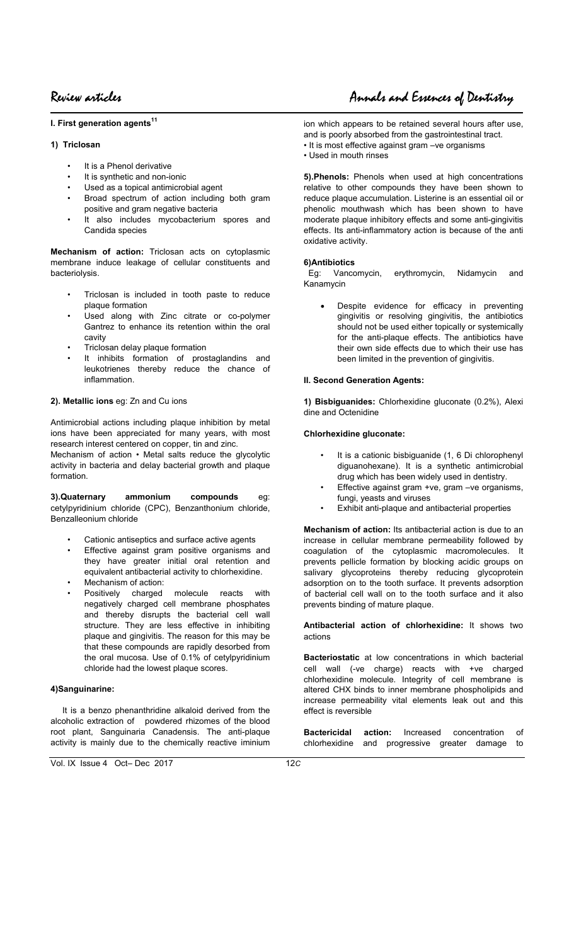**I. First generation agents<sup>11</sup>**

# **1) Triclosan**

 $\overline{\phantom{a}}$ 

- It is a Phenol derivative
- It is synthetic and non-ionic
- Used as a topical antimicrobial agent
- Broad spectrum of action including both gram positive and gram negative bacteria
- It also includes mycobacterium spores and Candida species

**Mechanism of action:** Triclosan acts on cytoplasmic membrane induce leakage of cellular constituents and bacteriolysis.

- Triclosan is included in tooth paste to reduce plaque formation
- Used along with Zinc citrate or co-polymer Gantrez to enhance its retention within the oral cavity
- Triclosan delay plaque formation
- It inhibits formation of prostaglandins and leukotrienes thereby reduce the chance of inflammation.

# **2). Metallic ions** eg: Zn and Cu ions

Antimicrobial actions including plaque inhibition by metal ions have been appreciated for many years, with most research interest centered on copper, tin and zinc.

Mechanism of action • Metal salts reduce the glycolytic activity in bacteria and delay bacterial growth and plaque formation.

**3).Quaternary ammonium compounds** eg: cetylpyridinium chloride (CPC), Benzanthonium chloride, Benzalleonium chloride

- Cationic antiseptics and surface active agents
- Effective against gram positive organisms and they have greater initial oral retention and equivalent antibacterial activity to chlorhexidine.
- Mechanism of action:
- Positively charged molecule reacts with negatively charged cell membrane phosphates and thereby disrupts the bacterial cell wall structure. They are less effective in inhibiting plaque and gingivitis. The reason for this may be that these compounds are rapidly desorbed from the oral mucosa. Use of 0.1% of cetylpyridinium chloride had the lowest plaque scores.

# **4)Sanguinarine:**

 It is a benzo phenanthridine alkaloid derived from the alcoholic extraction of powdered rhizomes of the blood root plant, Sanguinaria Canadensis. The anti-plaque activity is mainly due to the chemically reactive iminium

Review articles Annals and Essences of Dentistry

ion which appears to be retained several hours after use, and is poorly absorbed from the gastrointestinal tract.

- It is most effective against gram –ve organisms
- Used in mouth rinses

**5).Phenols:** Phenols when used at high concentrations relative to other compounds they have been shown to reduce plaque accumulation. Listerine is an essential oil or phenolic mouthwash which has been shown to have moderate plaque inhibitory effects and some anti-gingivitis effects. Its anti-inflammatory action is because of the anti oxidative activity.

# **6)Antibiotics**

 Eg: Vancomycin, erythromycin, Nidamycin and Kanamycin

Despite evidence for efficacy in preventing gingivitis or resolving gingivitis, the antibiotics should not be used either topically or systemically for the anti-plaque effects. The antibiotics have their own side effects due to which their use has been limited in the prevention of gingivitis.

# **II. Second Generation Agents:**

**1) Bisbiguanides:** Chlorhexidine gluconate (0.2%), Alexi dine and Octenidine

# **Chlorhexidine gluconate:**

- It is a cationic bisbiguanide (1, 6 Di chlorophenyl diguanohexane). It is a synthetic antimicrobial drug which has been widely used in dentistry.
- Effective against gram +ve, gram -ve organisms, fungi, yeasts and viruses
- Exhibit anti-plaque and antibacterial properties

**Mechanism of action:** Its antibacterial action is due to an increase in cellular membrane permeability followed by coagulation of the cytoplasmic macromolecules. It prevents pellicle formation by blocking acidic groups on salivary glycoproteins thereby reducing glycoprotein adsorption on to the tooth surface. It prevents adsorption of bacterial cell wall on to the tooth surface and it also prevents binding of mature plaque.

**Antibacterial action of chlorhexidine:** It shows two actions

**Bacteriostatic** at low concentrations in which bacterial cell wall (-ve charge) reacts with +ve charged chlorhexidine molecule. Integrity of cell membrane is altered CHX binds to inner membrane phospholipids and increase permeability vital elements leak out and this effect is reversible

**Bactericidal action:** Increased concentration of chlorhexidine and progressive greater damage to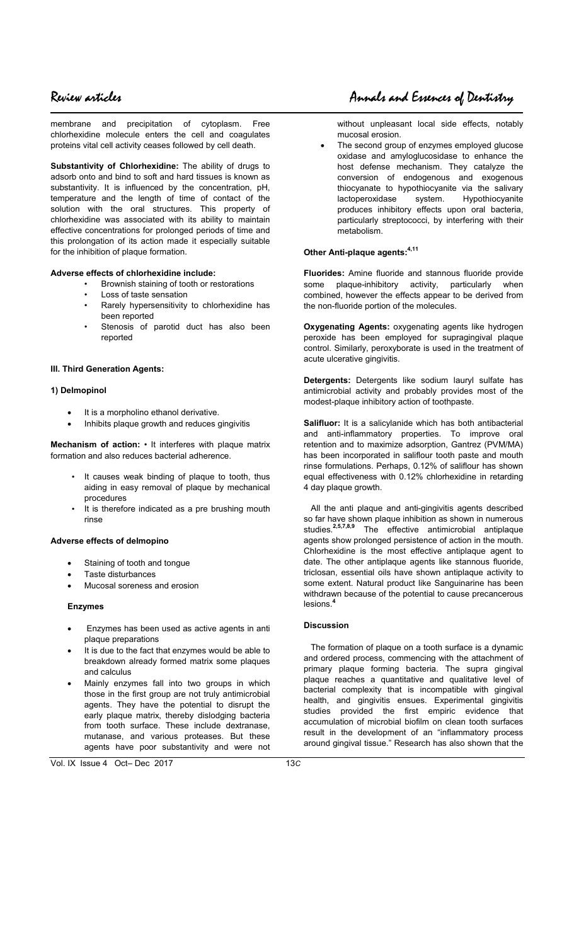# Review articles Annals and Essences of Dentistry

membrane and precipitation of cytoplasm. Free chlorhexidine molecule enters the cell and coagulates proteins vital cell activity ceases followed by cell death.

**Substantivity of Chlorhexidine:** The ability of drugs to adsorb onto and bind to soft and hard tissues is known as substantivity. It is influenced by the concentration, pH, temperature and the length of time of contact of the solution with the oral structures. This property of chlorhexidine was associated with its ability to maintain effective concentrations for prolonged periods of time and this prolongation of its action made it especially suitable for the inhibition of plaque formation.

# **Adverse effects of chlorhexidine include:**

- Brownish staining of tooth or restorations
- Loss of taste sensation
- Rarely hypersensitivity to chlorhexidine has been reported
- Stenosis of parotid duct has also been reported

# **III. Third Generation Agents:**

### **1) Delmopinol**

- It is a morpholino ethanol derivative.
- Inhibits plaque growth and reduces gingivitis

**Mechanism of action:** • It interferes with plaque matrix formation and also reduces bacterial adherence.

- It causes weak binding of plaque to tooth, thus aiding in easy removal of plaque by mechanical procedures
- It is therefore indicated as a pre brushing mouth rinse

### **Adverse effects of delmopino**

- Staining of tooth and tongue
- Taste disturbances
- Mucosal soreness and erosion

### **Enzymes**

- Enzymes has been used as active agents in anti plaque preparations
- It is due to the fact that enzymes would be able to breakdown already formed matrix some plaques and calculus
- Mainly enzymes fall into two groups in which those in the first group are not truly antimicrobial agents. They have the potential to disrupt the early plaque matrix, thereby dislodging bacteria from tooth surface. These include dextranase, mutanase, and various proteases. But these agents have poor substantivity and were not

The second group of enzymes employed glucose oxidase and amyloglucosidase to enhance the host defense mechanism. They catalyze the conversion of endogenous and exogenous thiocyanate to hypothiocyanite via the salivary lactoperoxidase system. Hypothiocyanite produces inhibitory effects upon oral bacteria, particularly streptococci, by interfering with their metabolism.

# **Other Anti-plaque agents:4,11**

**Fluorides:** Amine fluoride and stannous fluoride provide some plaque-inhibitory activity, particularly when combined, however the effects appear to be derived from the non-fluoride portion of the molecules.

**Oxygenating Agents:** oxygenating agents like hydrogen peroxide has been employed for supragingival plaque control. Similarly, peroxyborate is used in the treatment of acute ulcerative gingivitis.

**Detergents:** Detergents like sodium lauryl sulfate has antimicrobial activity and probably provides most of the modest-plaque inhibitory action of toothpaste.

**Salifluor:** It is a salicylanide which has both antibacterial and anti-inflammatory properties. To improve oral retention and to maximize adsorption, Gantrez (PVM/MA) has been incorporated in saliflour tooth paste and mouth rinse formulations. Perhaps, 0.12% of saliflour has shown equal effectiveness with 0.12% chlorhexidine in retarding 4 day plaque growth.

 All the anti plaque and anti-gingivitis agents described so far have shown plaque inhibition as shown in numerous studies.**2,5,7,8,9** The effective antimicrobial antiplaque agents show prolonged persistence of action in the mouth. Chlorhexidine is the most effective antiplaque agent to date. The other antiplaque agents like stannous fluoride, triclosan, essential oils have shown antiplaque activity to some extent. Natural product like Sanguinarine has been withdrawn because of the potential to cause precancerous lesions.<sup>4</sup>

# **Discussion**

 The formation of plaque on a tooth surface is a dynamic and ordered process, commencing with the attachment of primary plaque forming bacteria. The supra gingival plaque reaches a quantitative and qualitative level of bacterial complexity that is incompatible with gingival health, and gingivitis ensues. Experimental gingivitis studies provided the first empiric evidence that accumulation of microbial biofilm on clean tooth surfaces result in the development of an "inflammatory process around gingival tissue." Research has also shown that the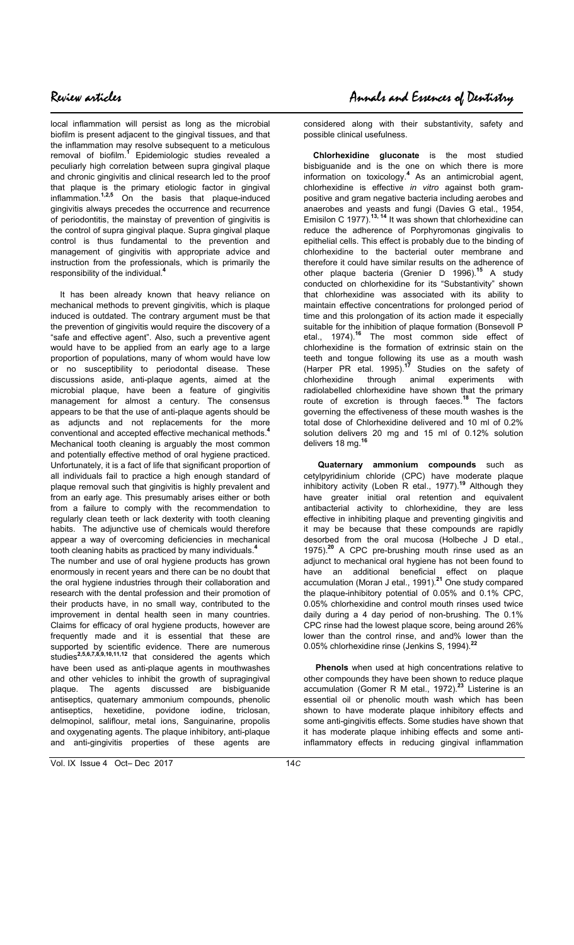local inflammation will persist as long as the microbial biofilm is present adjacent to the gingival tissues, and that the inflammation may resolve subsequent to a meticulous removal of biofilm.**<sup>1</sup>** Epidemiologic studies revealed a peculiarly high correlation between supra gingival plaque and chronic gingivitis and clinical research led to the proof that plaque is the primary etiologic factor in gingival inflammation.**1,2,5** On the basis that plaque-induced gingivitis always precedes the occurrence and recurrence of periodontitis, the mainstay of prevention of gingivitis is the control of supra gingival plaque. Supra gingival plaque control is thus fundamental to the prevention and management of gingivitis with appropriate advice and instruction from the professionals, which is primarily the responsibility of the individual.**<sup>4</sup>**

 It has been already known that heavy reliance on mechanical methods to prevent gingivitis, which is plaque induced is outdated. The contrary argument must be that the prevention of gingivitis would require the discovery of a "safe and effective agent". Also, such a preventive agent would have to be applied from an early age to a large proportion of populations, many of whom would have low or no susceptibility to periodontal disease. These discussions aside, anti-plaque agents, aimed at the microbial plaque, have been a feature of gingivitis management for almost a century. The consensus appears to be that the use of anti-plaque agents should be as adjuncts and not replacements for the more conventional and accepted effective mechanical methods.**<sup>4</sup>** Mechanical tooth cleaning is arguably the most common and potentially effective method of oral hygiene practiced. Unfortunately, it is a fact of life that significant proportion of all individuals fail to practice a high enough standard of plaque removal such that gingivitis is highly prevalent and from an early age. This presumably arises either or both from a failure to comply with the recommendation to regularly clean teeth or lack dexterity with tooth cleaning habits. The adjunctive use of chemicals would therefore appear a way of overcoming deficiencies in mechanical tooth cleaning habits as practiced by many individuals.**<sup>4</sup>** The number and use of oral hygiene products has grown

enormously in recent years and there can be no doubt that the oral hygiene industries through their collaboration and research with the dental profession and their promotion of their products have, in no small way, contributed to the improvement in dental health seen in many countries. Claims for efficacy of oral hygiene products, however are frequently made and it is essential that these are supported by scientific evidence. There are numerous studies**2,5,6,7,8,9,10,11,12** that considered the agents which have been used as anti-plaque agents in mouthwashes and other vehicles to inhibit the growth of supragingival plaque. The agents discussed are bisbiguanide antiseptics, quaternary ammonium compounds, phenolic antiseptics, hexetidine, povidone iodine, triclosan, delmopinol, saliflour, metal ions, Sanguinarine, propolis and oxygenating agents. The plaque inhibitory, anti-plaque and anti-gingivitis properties of these agents are

considered along with their substantivity, safety and possible clinical usefulness.

 **Chlorhexidine gluconate** is the most studied bisbiguanide and is the one on which there is more information on toxicology.**<sup>4</sup>** As an antimicrobial agent, chlorhexidine is effective *in vitro* against both grampositive and gram negative bacteria including aerobes and anaerobes and yeasts and fungi (Davies G etal., 1954, Emisilon C 1977).**13, 14** It was shown that chlorhexidine can reduce the adherence of Porphyromonas gingivalis to epithelial cells. This effect is probably due to the binding of chlorhexidine to the bacterial outer membrane and therefore it could have similar results on the adherence of other plaque bacteria (Grenier D 1996).**<sup>15</sup>** A study conducted on chlorhexidine for its "Substantivity" shown that chlorhexidine was associated with its ability to maintain effective concentrations for prolonged period of time and this prolongation of its action made it especially suitable for the inhibition of plaque formation (Bonsevoll P etal., 1974).**<sup>16</sup>** The most common side effect of chlorhexidine is the formation of extrinsic stain on the teeth and tongue following its use as a mouth wash (Harper PR etal. 1995).**<sup>17</sup>** Studies on the safety of chlorhexidine through animal experiments with radiolabelled chlorhexidine have shown that the primary route of excretion is through faeces.**<sup>18</sup>** The factors governing the effectiveness of these mouth washes is the total dose of Chlorhexidine delivered and 10 ml of 0.2% solution delivers 20 mg and 15 ml of 0.12% solution delivers 18 mg.

 **Quaternary ammonium compounds** such as cetylpyridinium chloride (CPC) have moderate plaque inhibitory activity (Loben R etal., 1977).**<sup>19</sup>** Although they have greater initial oral retention and equivalent antibacterial activity to chlorhexidine, they are less effective in inhibiting plaque and preventing gingivitis and it may be because that these compounds are rapidly desorbed from the oral mucosa (Holbeche J D etal., 1975).**<sup>20</sup>** A CPC pre-brushing mouth rinse used as an adjunct to mechanical oral hygiene has not been found to have an additional beneficial effect on plaque accumulation (Moran J etal., 1991).**<sup>21</sup>** One study compared the plaque-inhibitory potential of 0.05% and 0.1% CPC, 0.05% chlorhexidine and control mouth rinses used twice daily during a 4 day period of non-brushing. The 0.1% CPC rinse had the lowest plaque score, being around 26% lower than the control rinse, and and% lower than the 0.05% chlorhexidine rinse (Jenkins S, 1994).**<sup>22</sup>** 

 **Phenols** when used at high concentrations relative to other compounds they have been shown to reduce plaque accumulation (Gomer R M etal., 1972).**<sup>23</sup>** Listerine is an essential oil or phenolic mouth wash which has been shown to have moderate plaque inhibitory effects and some anti-gingivitis effects. Some studies have shown that it has moderate plaque inhibing effects and some antiinflammatory effects in reducing gingival inflammation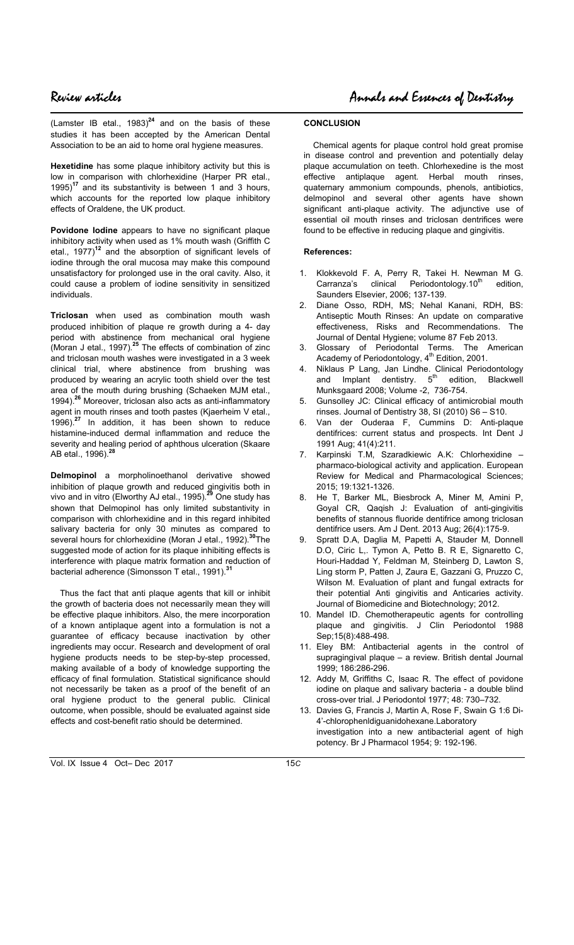(Lamster IB etal.,  $1983$ <sup>24</sup> and on the basis of these studies it has been accepted by the American Dental Association to be an aid to home oral hygiene measures.

**Hexetidine** has some plaque inhibitory activity but this is low in comparison with chlorhexidine (Harper PR etal., 1995)<sup>17</sup> and its substantivity is between 1 and 3 hours. and its substantivity is between 1 and 3 hours, which accounts for the reported low plaque inhibitory effects of Oraldene, the UK product.

**Povidone Iodine** appears to have no significant plaque inhibitory activity when used as 1% mouth wash (Griffith C etal., 1977)**<sup>12</sup>** and the absorption of significant levels of iodine through the oral mucosa may make this compound unsatisfactory for prolonged use in the oral cavity. Also, it could cause a problem of iodine sensitivity in sensitized individuals.

**Triclosan** when used as combination mouth wash produced inhibition of plaque re growth during a 4- day period with abstinence from mechanical oral hygiene (Moran J etal., 1997).**<sup>25</sup>** The effects of combination of zinc and triclosan mouth washes were investigated in a 3 week clinical trial, where abstinence from brushing was produced by wearing an acrylic tooth shield over the test area of the mouth during brushing (Schaeken MJM etal., 1994).**<sup>26</sup>** Moreover, triclosan also acts as anti-inflammatory agent in mouth rinses and tooth pastes (Kjaerheim V etal., 1996).**<sup>27</sup>** In addition, it has been shown to reduce histamine-induced dermal inflammation and reduce the severity and healing period of aphthous ulceration (Skaare AB etal., 1996).**<sup>28</sup>**

**Delmopinol** a morpholinoethanol derivative showed inhibition of plaque growth and reduced gingivitis both in vivo and in vitro (Elworthy AJ etal., 1995).**<sup>29</sup>** One study has shown that Delmopinol has only limited substantivity in comparison with chlorhexidine and in this regard inhibited salivary bacteria for only 30 minutes as compared to several hours for chlorhexidine (Moran J etal., 1992).**<sup>30</sup>**The suggested mode of action for its plaque inhibiting effects is interference with plaque matrix formation and reduction of bacterial adherence (Simonsson T etal., 1991).

 Thus the fact that anti plaque agents that kill or inhibit the growth of bacteria does not necessarily mean they will be effective plaque inhibitors. Also, the mere incorporation of a known antiplaque agent into a formulation is not a guarantee of efficacy because inactivation by other ingredients may occur. Research and development of oral hygiene products needs to be step-by-step processed, making available of a body of knowledge supporting the efficacy of final formulation. Statistical significance should not necessarily be taken as a proof of the benefit of an oral hygiene product to the general public. Clinical outcome, when possible, should be evaluated against side effects and cost-benefit ratio should be determined.

### **CONCLUSION**

Chemical agents for plaque control hold great promise in disease control and prevention and potentially delay plaque accumulation on teeth. Chlorhexedine is the most effective antiplaque agent. Herbal mouth rinses, quaternary ammonium compounds, phenols, antibiotics, delmopinol and several other agents have shown significant anti-plaque activity. The adjunctive use of essential oil mouth rinses and triclosan dentrifices were found to be effective in reducing plaque and gingivitis.

### **References:**

- 1. Klokkevold F. A, Perry R, Takei H. Newman M G. Carranza's clinical Periodontology. $10<sup>th</sup>$  edition, Saunders Elsevier, 2006; 137-139.
- 2. Diane Osso, RDH, MS; Nehal Kanani, RDH, BS: Antiseptic Mouth Rinses: An update on comparative effectiveness, Risks and Recommendations. The Journal of Dental Hygiene; volume 87 Feb 2013.
- 3. Glossary of Periodontal Terms. The American Academy of Periodontology, 4<sup>th</sup> Edition, 2001.
- 4. Niklaus P Lang, Jan Lindhe. Clinical Periodontology and Implant dentistry. 5<sup>th</sup> edition, Blackwell Munksgaard 2008; Volume -2, 736-754.
- 5. Gunsolley JC: Clinical efficacy of antimicrobial mouth rinses. Journal of Dentistry 38, SI (2010) S6 – S10.
- 6. Van der Ouderaa F, Cummins D: Anti-plaque dentifrices: current status and prospects. Int Dent J 1991 Aug; 41(4):211.
- 7. Karpinski T.M, Szaradkiewic A.K: Chlorhexidine pharmaco-biological activity and application. European Review for Medical and Pharmacological Sciences; 2015; 19:1321-1326.
- He T, Barker ML, Biesbrock A, Miner M, Amini P, Goyal CR, Qaqish J: Evaluation of anti-gingivitis benefits of stannous fluoride dentifrice among triclosan dentifrice users. Am J Dent. 2013 Aug; 26(4):175-9.
- 9. Spratt D.A, Daglia M, Papetti A, Stauder M, Donnell D.O, Ciric L,. Tymon A, Petto B. R E, Signaretto C, Houri-Haddad Y, Feldman M, Steinberg D, Lawton S, Ling storm P, Patten J, Zaura E, Gazzani G, Pruzzo C, Wilson M. Evaluation of plant and fungal extracts for their potential Anti gingivitis and Anticaries activity. Journal of Biomedicine and Biotechnology; 2012.
- 10. Mandel ID. Chemotherapeutic agents for controlling plaque and gingivitis. J Clin Periodontol 1988 Sep;15(8):488-498.
- 11. Eley BM: Antibacterial agents in the control of supragingival plaque – a review. British dental Journal 1999; 186:286-296.
- 12. Addy M, Griffiths C, Isaac R. The effect of povidone iodine on plaque and salivary bacteria - a double blind cross-over trial. J Periodontol 1977; 48: 730–732.
- 13. Davies G, Francis J, Martin A, Rose F, Swain G 1:6 Di-4'-chlorophenldiguanidohexane.Laboratory investigation into a new antibacterial agent of high potency. Br J Pharmacol 1954; 9: 192-196.